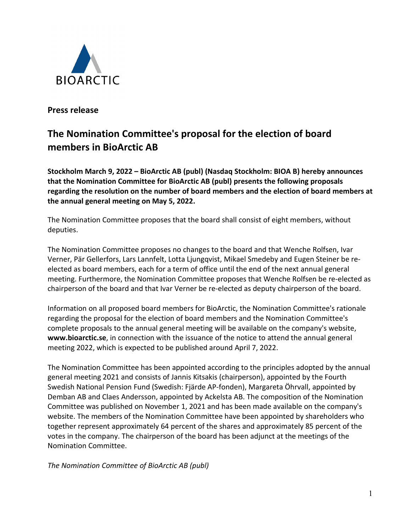

**Press release**

## **The Nomination Committee's proposal for the election of board members in BioArctic AB**

**Stockholm March 9, 2022 – BioArctic AB (publ) (Nasdaq Stockholm: BIOA B) hereby announces that the Nomination Committee for BioArctic AB (publ) presents the following proposals regarding the resolution on the number of board members and the election of board members at the annual general meeting on May 5, 2022.** 

The Nomination Committee proposes that the board shall consist of eight members, without deputies.

The Nomination Committee proposes no changes to the board and that Wenche Rolfsen, Ivar Verner, Pär Gellerfors, Lars Lannfelt, Lotta Ljungqvist, Mikael Smedeby and Eugen Steiner be reelected as board members, each for a term of office until the end of the next annual general meeting. Furthermore, the Nomination Committee proposes that Wenche Rolfsen be re-elected as chairperson of the board and that Ivar Verner be re-elected as deputy chairperson of the board.

Information on all proposed board members for BioArctic, the Nomination Committee's rationale regarding the proposal for the election of board members and the Nomination Committee's complete proposals to the annual general meeting will be available on the company's website, **[www.bioarctic.se](http://www.bioarctic.se/)**, in connection with the issuance of the notice to attend the annual general meeting 2022, which is expected to be published around April 7, 2022.

The Nomination Committee has been appointed according to the principles adopted by the annual general meeting 2021 and consists of Jannis Kitsakis (chairperson), appointed by the Fourth Swedish National Pension Fund (Swedish: Fjärde AP-fonden), Margareta Öhrvall, appointed by Demban AB and Claes Andersson, appointed by Ackelsta AB. The composition of the Nomination Committee was published on November 1, 2021 and has been made available on the company's website. The members of the Nomination Committee have been appointed by shareholders who together represent approximately 64 percent of the shares and approximately 85 percent of the votes in the company. The chairperson of the board has been adjunct at the meetings of the Nomination Committee.

*The Nomination Committee of BioArctic AB (publ)*